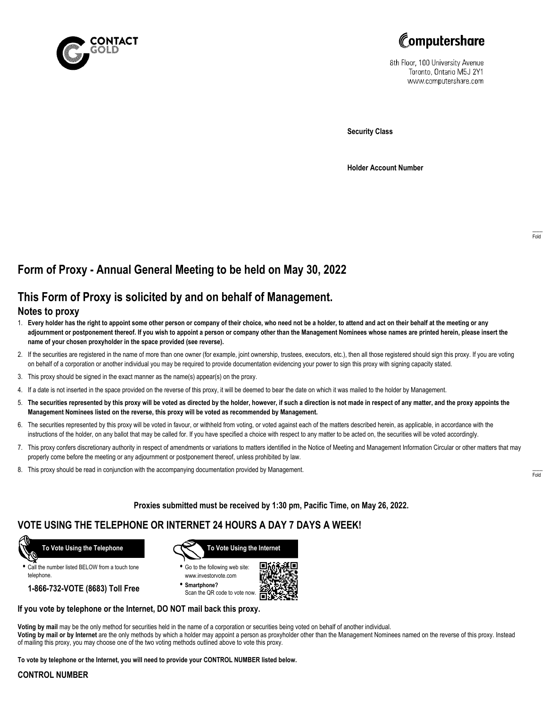



8th Floor, 100 University Avenue Toronto, Ontario M5J 2Y1 www.computershare.com

**Security Class**

**Holder Account Number**

# **Form of Proxy - Annual General Meeting to be held on May 30, 2022**

# **This Form of Proxy is solicited by and on behalf of Management.**

### **Notes to proxy**

- 1. **Every holder has the right to appoint some other person or company of their choice, who need not be a holder, to attend and act on their behalf at the meeting or any adjournment or postponement thereof. If you wish to appoint a person or company other than the Management Nominees whose names are printed herein, please insert the name of your chosen proxyholder in the space provided (see reverse).**
- 2. If the securities are registered in the name of more than one owner (for example, joint ownership, trustees, executors, etc.), then all those registered should sign this proxy. If you are voting on behalf of a corporation or another individual you may be required to provide documentation evidencing your power to sign this proxy with signing capacity stated.
- 3. This proxy should be signed in the exact manner as the name(s) appear(s) on the proxy.
- 4. If a date is not inserted in the space provided on the reverse of this proxy, it will be deemed to bear the date on which it was mailed to the holder by Management.
- 5. **The securities represented by this proxy will be voted as directed by the holder, however, if such a direction is not made in respect of any matter, and the proxy appoints the Management Nominees listed on the reverse, this proxy will be voted as recommended by Management.**
- 6. The securities represented by this proxy will be voted in favour, or withheld from voting, or voted against each of the matters described herein, as applicable, in accordance with the instructions of the holder, on any ballot that may be called for. If you have specified a choice with respect to any matter to be acted on, the securities will be voted accordingly.
- 7. This proxy confers discretionary authority in respect of amendments or variations to matters identified in the Notice of Meeting and Management Information Circular or other matters that may properly come before the meeting or any adjournment or postponement thereof, unless prohibited by law.
- 8. This proxy should be read in conjunction with the accompanying documentation provided by Management.

**Proxies submitted must be received by 1:30 pm, Pacific Time, on May 26, 2022.**

## **VOTE USING THE TELEPHONE OR INTERNET 24 HOURS A DAY 7 DAYS A WEEK!**



**•** Call the number listed BELOW from a touch tone telephone.

**1-866-732-VOTE (8683) Toll Free**



**•** Go to the following web site: www.investorvote.com

**• Smartphone?** Scan the QR code to vote now.



### **If you vote by telephone or the Internet, DO NOT mail back this proxy.**

**Voting by mail** may be the only method for securities held in the name of a corporation or securities being voted on behalf of another individual. **Voting by mail or by Internet** are the only methods by which a holder may appoint a person as proxyholder other than the Management Nominees named on the reverse of this proxy. Instead of mailing this proxy, you may choose one of the two voting methods outlined above to vote this proxy.

**To vote by telephone or the Internet, you will need to provide your CONTROL NUMBER listed below.**

#### **CONTROL NUMBER**